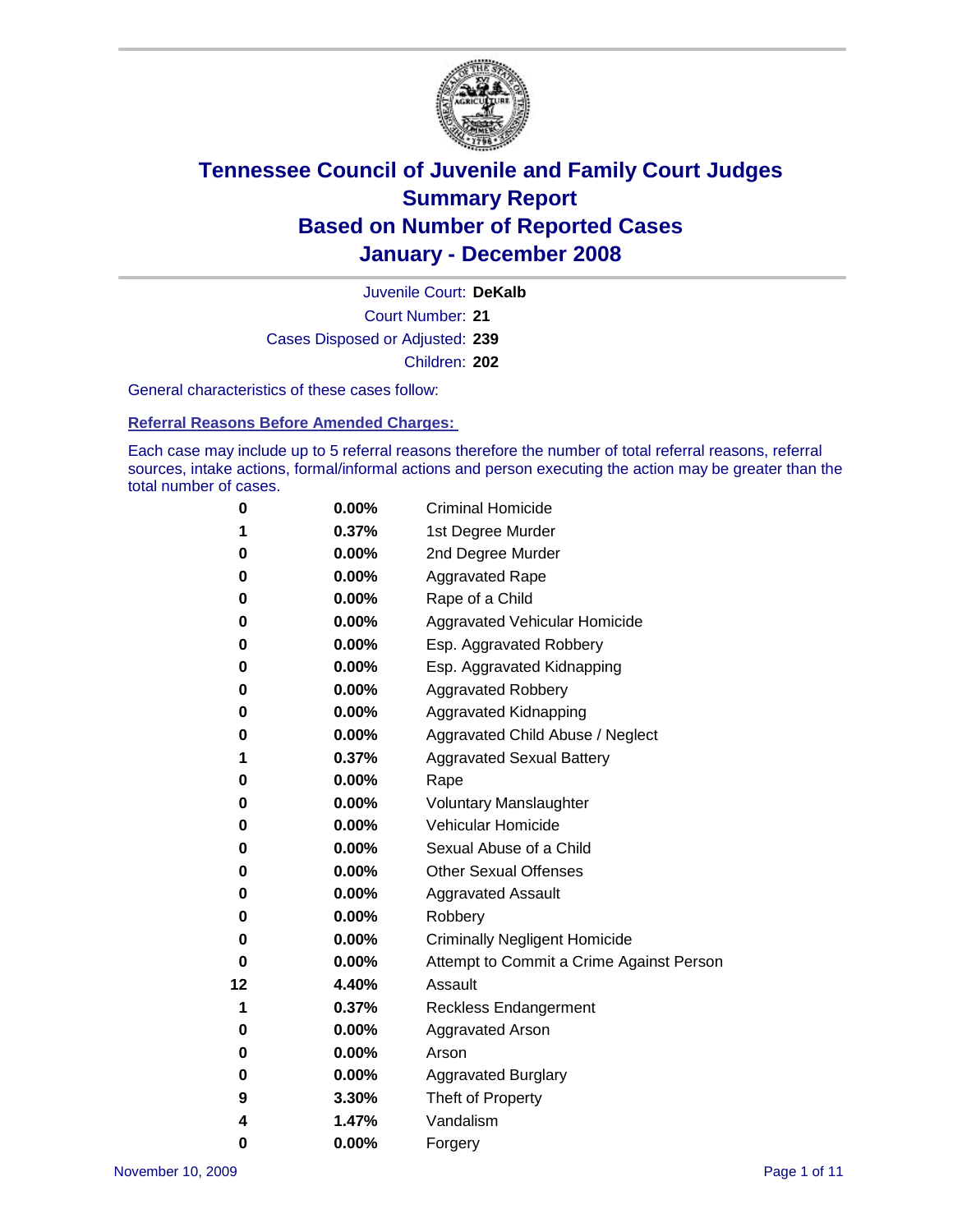

Court Number: **21** Juvenile Court: **DeKalb** Cases Disposed or Adjusted: **239** Children: **202**

General characteristics of these cases follow:

**Referral Reasons Before Amended Charges:** 

Each case may include up to 5 referral reasons therefore the number of total referral reasons, referral sources, intake actions, formal/informal actions and person executing the action may be greater than the total number of cases.

| 0  | 0.00%    | <b>Criminal Homicide</b>                 |
|----|----------|------------------------------------------|
| 1  | 0.37%    | 1st Degree Murder                        |
| 0  | $0.00\%$ | 2nd Degree Murder                        |
| 0  | 0.00%    | <b>Aggravated Rape</b>                   |
| 0  | 0.00%    | Rape of a Child                          |
| 0  | 0.00%    | Aggravated Vehicular Homicide            |
| 0  | 0.00%    | Esp. Aggravated Robbery                  |
| 0  | 0.00%    | Esp. Aggravated Kidnapping               |
| 0  | 0.00%    | <b>Aggravated Robbery</b>                |
| 0  | 0.00%    | Aggravated Kidnapping                    |
| 0  | 0.00%    | Aggravated Child Abuse / Neglect         |
| 1  | 0.37%    | <b>Aggravated Sexual Battery</b>         |
| 0  | 0.00%    | Rape                                     |
| 0  | 0.00%    | <b>Voluntary Manslaughter</b>            |
| 0  | 0.00%    | Vehicular Homicide                       |
| 0  | 0.00%    | Sexual Abuse of a Child                  |
| 0  | 0.00%    | <b>Other Sexual Offenses</b>             |
| 0  | 0.00%    | <b>Aggravated Assault</b>                |
| 0  | $0.00\%$ | Robbery                                  |
| 0  | 0.00%    | <b>Criminally Negligent Homicide</b>     |
| 0  | 0.00%    | Attempt to Commit a Crime Against Person |
| 12 | 4.40%    | Assault                                  |
| 1  | 0.37%    | <b>Reckless Endangerment</b>             |
| 0  | 0.00%    | <b>Aggravated Arson</b>                  |
| 0  | 0.00%    | Arson                                    |
| 0  | $0.00\%$ | <b>Aggravated Burglary</b>               |
| 9  | 3.30%    | Theft of Property                        |
| 4  | 1.47%    | Vandalism                                |
| 0  | 0.00%    | Forgery                                  |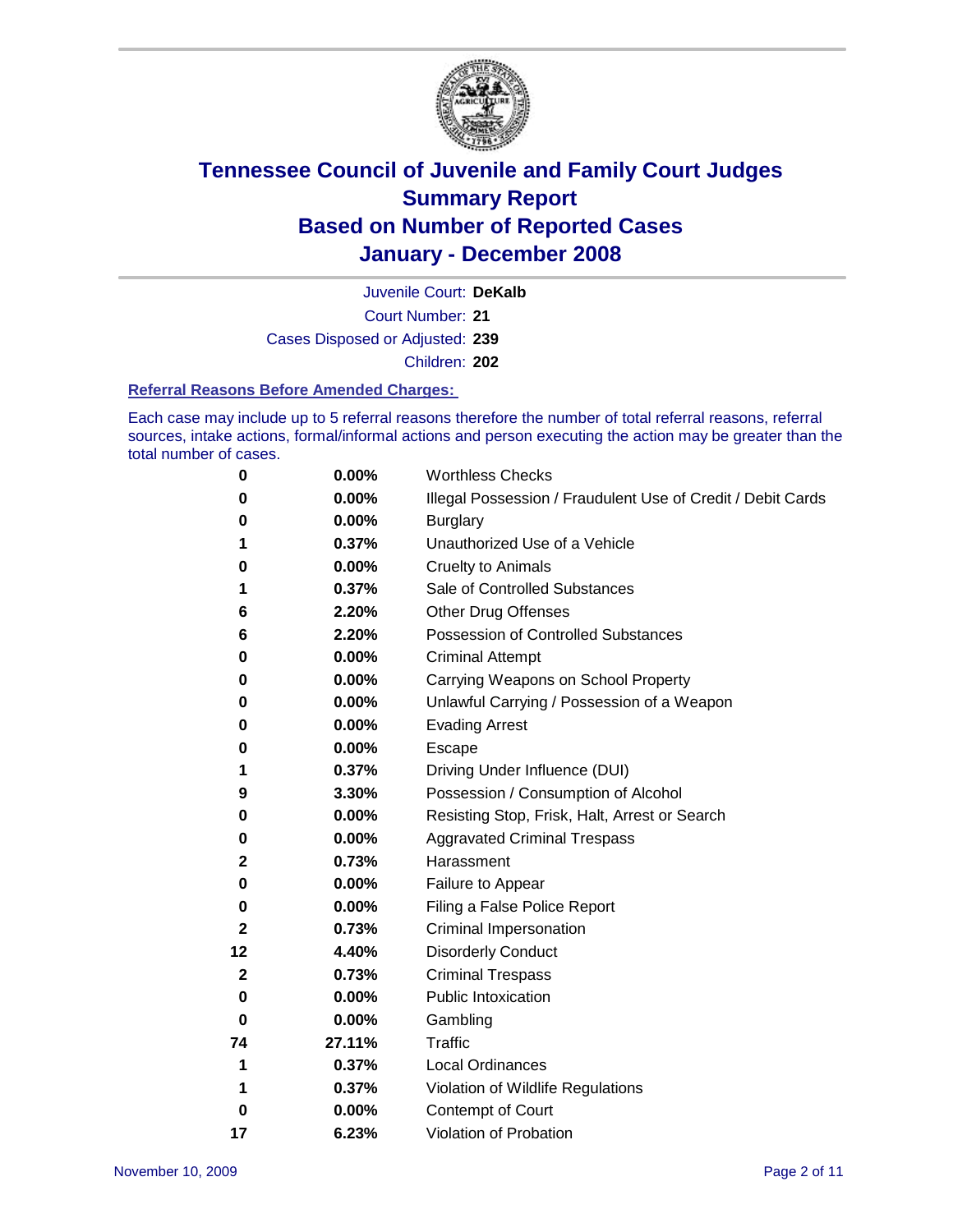

Court Number: **21** Juvenile Court: **DeKalb** Cases Disposed or Adjusted: **239** Children: **202**

### **Referral Reasons Before Amended Charges:**

Each case may include up to 5 referral reasons therefore the number of total referral reasons, referral sources, intake actions, formal/informal actions and person executing the action may be greater than the total number of cases.

| 0            | 0.00%  | <b>Worthless Checks</b>                                     |  |  |  |
|--------------|--------|-------------------------------------------------------------|--|--|--|
| 0            | 0.00%  | Illegal Possession / Fraudulent Use of Credit / Debit Cards |  |  |  |
| 0            | 0.00%  | <b>Burglary</b>                                             |  |  |  |
| 1            | 0.37%  | Unauthorized Use of a Vehicle                               |  |  |  |
| 0            | 0.00%  | <b>Cruelty to Animals</b>                                   |  |  |  |
| 1            | 0.37%  | Sale of Controlled Substances                               |  |  |  |
| 6            | 2.20%  | <b>Other Drug Offenses</b>                                  |  |  |  |
| 6            | 2.20%  | <b>Possession of Controlled Substances</b>                  |  |  |  |
| 0            | 0.00%  | <b>Criminal Attempt</b>                                     |  |  |  |
| 0            | 0.00%  | Carrying Weapons on School Property                         |  |  |  |
| 0            | 0.00%  | Unlawful Carrying / Possession of a Weapon                  |  |  |  |
| 0            | 0.00%  | <b>Evading Arrest</b>                                       |  |  |  |
| 0            | 0.00%  | <b>Escape</b>                                               |  |  |  |
| 1            | 0.37%  | Driving Under Influence (DUI)                               |  |  |  |
| 9            | 3.30%  | Possession / Consumption of Alcohol                         |  |  |  |
| 0            | 0.00%  | Resisting Stop, Frisk, Halt, Arrest or Search               |  |  |  |
| 0            | 0.00%  | <b>Aggravated Criminal Trespass</b>                         |  |  |  |
| 2            | 0.73%  | Harassment                                                  |  |  |  |
| 0            | 0.00%  | Failure to Appear                                           |  |  |  |
| 0            | 0.00%  | Filing a False Police Report                                |  |  |  |
| $\mathbf{2}$ | 0.73%  | Criminal Impersonation                                      |  |  |  |
| 12           | 4.40%  | <b>Disorderly Conduct</b>                                   |  |  |  |
| $\mathbf{2}$ | 0.73%  | <b>Criminal Trespass</b>                                    |  |  |  |
| 0            | 0.00%  | <b>Public Intoxication</b>                                  |  |  |  |
| 0            | 0.00%  | Gambling                                                    |  |  |  |
| 74           | 27.11% | <b>Traffic</b>                                              |  |  |  |
| 1            | 0.37%  | <b>Local Ordinances</b>                                     |  |  |  |
| 1            | 0.37%  | Violation of Wildlife Regulations                           |  |  |  |
| 0            | 0.00%  | Contempt of Court                                           |  |  |  |
| 17           | 6.23%  | Violation of Probation                                      |  |  |  |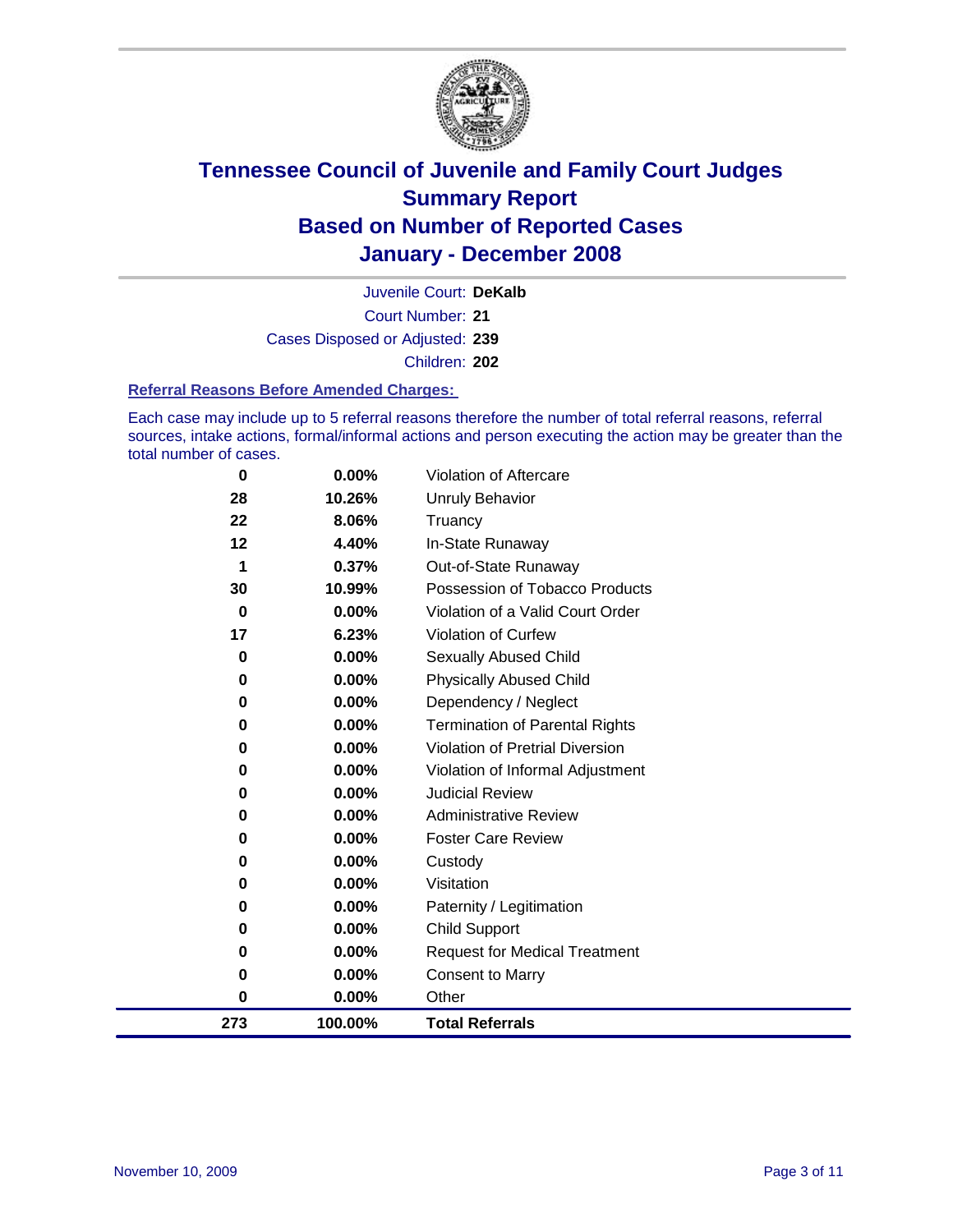

Court Number: **21** Juvenile Court: **DeKalb** Cases Disposed or Adjusted: **239** Children: **202**

### **Referral Reasons Before Amended Charges:**

Each case may include up to 5 referral reasons therefore the number of total referral reasons, referral sources, intake actions, formal/informal actions and person executing the action may be greater than the total number of cases.

| $\bf{0}$ | $0.00\%$ | <b>Violation of Aftercare</b>          |
|----------|----------|----------------------------------------|
| 28       | 10.26%   | Unruly Behavior                        |
| 22       | 8.06%    | Truancy                                |
| 12       | 4.40%    | In-State Runaway                       |
| 1        | 0.37%    | Out-of-State Runaway                   |
| 30       | 10.99%   | Possession of Tobacco Products         |
| 0        | 0.00%    | Violation of a Valid Court Order       |
| 17       | 6.23%    | <b>Violation of Curfew</b>             |
| 0        | 0.00%    | <b>Sexually Abused Child</b>           |
| 0        | 0.00%    | <b>Physically Abused Child</b>         |
| 0        | 0.00%    | Dependency / Neglect                   |
| 0        | 0.00%    | <b>Termination of Parental Rights</b>  |
| 0        | 0.00%    | <b>Violation of Pretrial Diversion</b> |
| 0        | 0.00%    | Violation of Informal Adjustment       |
| 0        | 0.00%    | <b>Judicial Review</b>                 |
| 0        | $0.00\%$ | <b>Administrative Review</b>           |
| 0        | $0.00\%$ | <b>Foster Care Review</b>              |
| 0        | 0.00%    | Custody                                |
| 0        | 0.00%    | Visitation                             |
| 0        | 0.00%    | Paternity / Legitimation               |
| 0        | 0.00%    | <b>Child Support</b>                   |
| 0        | 0.00%    | <b>Request for Medical Treatment</b>   |
| 0        | 0.00%    | <b>Consent to Marry</b>                |
| 0        | $0.00\%$ | Other                                  |
| 273      | 100.00%  | <b>Total Referrals</b>                 |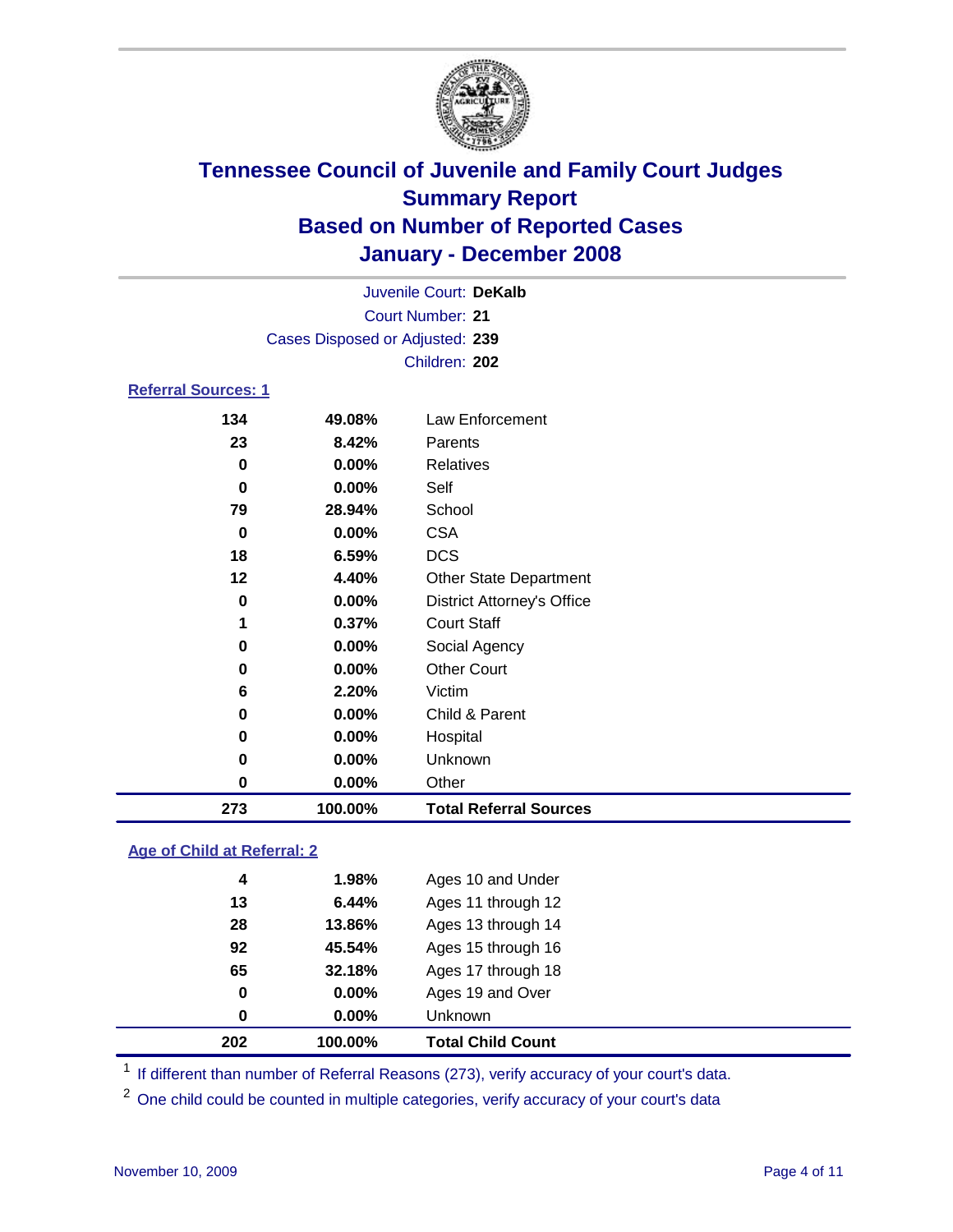

|                            |                                 | Juvenile Court: DeKalb |  |  |  |  |
|----------------------------|---------------------------------|------------------------|--|--|--|--|
|                            | Court Number: 21                |                        |  |  |  |  |
|                            | Cases Disposed or Adjusted: 239 |                        |  |  |  |  |
|                            |                                 | Children: 202          |  |  |  |  |
| <b>Referral Sources: 1</b> |                                 |                        |  |  |  |  |
| 134                        | 49.08%                          | Law Enforcement        |  |  |  |  |

| 273 | 100.00%  | <b>Total Referral Sources</b>     |
|-----|----------|-----------------------------------|
| 0   | $0.00\%$ | Other                             |
| 0   | $0.00\%$ | Unknown                           |
| 0   | 0.00%    | Hospital                          |
| 0   | 0.00%    | Child & Parent                    |
| 6   | 2.20%    | Victim                            |
| 0   | 0.00%    | <b>Other Court</b>                |
| 0   | 0.00%    | Social Agency                     |
| 1   | 0.37%    | <b>Court Staff</b>                |
| 0   | 0.00%    | <b>District Attorney's Office</b> |
| 12  | 4.40%    | <b>Other State Department</b>     |
| 18  | 6.59%    | <b>DCS</b>                        |
| 0   | 0.00%    | <b>CSA</b>                        |
| 79  | 28.94%   | School                            |
| 0   | 0.00%    | Self                              |
| 0   | 0.00%    | Relatives                         |
| 23  | 8.42%    | Parents                           |
| 134 | 49.08%   | Law Enforcement                   |

### **Age of Child at Referral: 2**

| 202 | 100.00%  | <b>Total Child Count</b> |
|-----|----------|--------------------------|
| 0   | $0.00\%$ | Unknown                  |
| 0   | 0.00%    | Ages 19 and Over         |
| 65  | 32.18%   | Ages 17 through 18       |
| 92  | 45.54%   | Ages 15 through 16       |
| 28  | 13.86%   | Ages 13 through 14       |
| 13  | 6.44%    | Ages 11 through 12       |
| 4   | 1.98%    | Ages 10 and Under        |
|     |          |                          |

<sup>1</sup> If different than number of Referral Reasons (273), verify accuracy of your court's data.

One child could be counted in multiple categories, verify accuracy of your court's data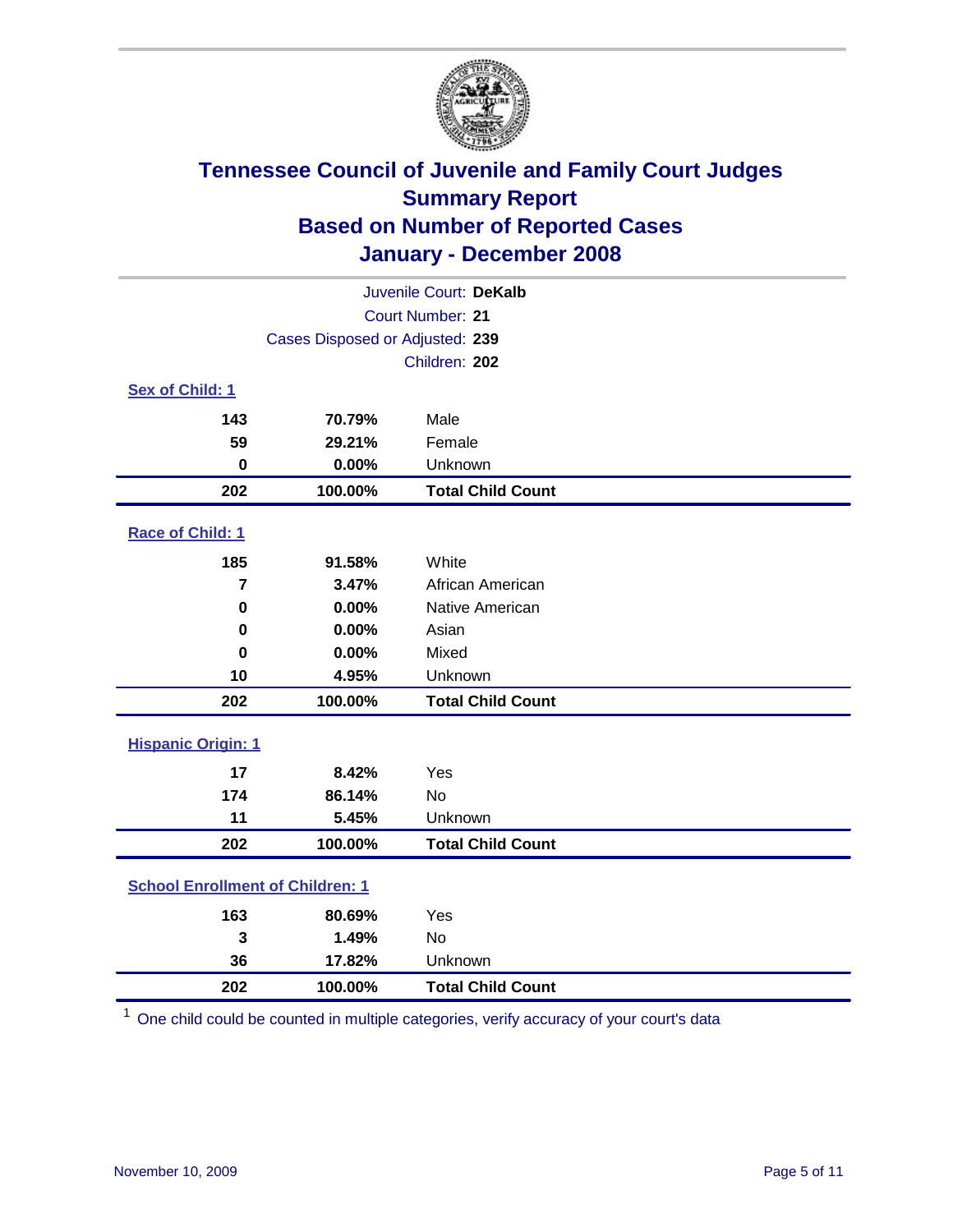

| Juvenile Court: DeKalb                  |                                 |                          |  |  |  |  |
|-----------------------------------------|---------------------------------|--------------------------|--|--|--|--|
| Court Number: 21                        |                                 |                          |  |  |  |  |
|                                         | Cases Disposed or Adjusted: 239 |                          |  |  |  |  |
|                                         |                                 | Children: 202            |  |  |  |  |
| Sex of Child: 1                         |                                 |                          |  |  |  |  |
| 143                                     | 70.79%                          | Male                     |  |  |  |  |
| 59                                      | 29.21%                          | Female                   |  |  |  |  |
| $\bf{0}$                                | 0.00%                           | Unknown                  |  |  |  |  |
| 202                                     | 100.00%                         | <b>Total Child Count</b> |  |  |  |  |
| Race of Child: 1                        |                                 |                          |  |  |  |  |
| 185                                     | 91.58%                          | White                    |  |  |  |  |
| 7                                       | 3.47%                           | African American         |  |  |  |  |
| 0                                       | 0.00%                           | Native American          |  |  |  |  |
| 0                                       | 0.00%                           | Asian                    |  |  |  |  |
| $\bf{0}$                                | 0.00%                           | Mixed                    |  |  |  |  |
| 10                                      | 4.95%                           | Unknown                  |  |  |  |  |
| 202                                     | 100.00%                         | <b>Total Child Count</b> |  |  |  |  |
| <b>Hispanic Origin: 1</b>               |                                 |                          |  |  |  |  |
| 17                                      | 8.42%                           | Yes                      |  |  |  |  |
| 174                                     | 86.14%                          | <b>No</b>                |  |  |  |  |
| 11                                      | 5.45%                           | Unknown                  |  |  |  |  |
| 202                                     | 100.00%                         | <b>Total Child Count</b> |  |  |  |  |
| <b>School Enrollment of Children: 1</b> |                                 |                          |  |  |  |  |
| 163                                     | 80.69%                          | Yes                      |  |  |  |  |
| 3                                       | 1.49%                           | No                       |  |  |  |  |
| 36                                      | 17.82%                          | Unknown                  |  |  |  |  |
| 202                                     | 100.00%                         | <b>Total Child Count</b> |  |  |  |  |

One child could be counted in multiple categories, verify accuracy of your court's data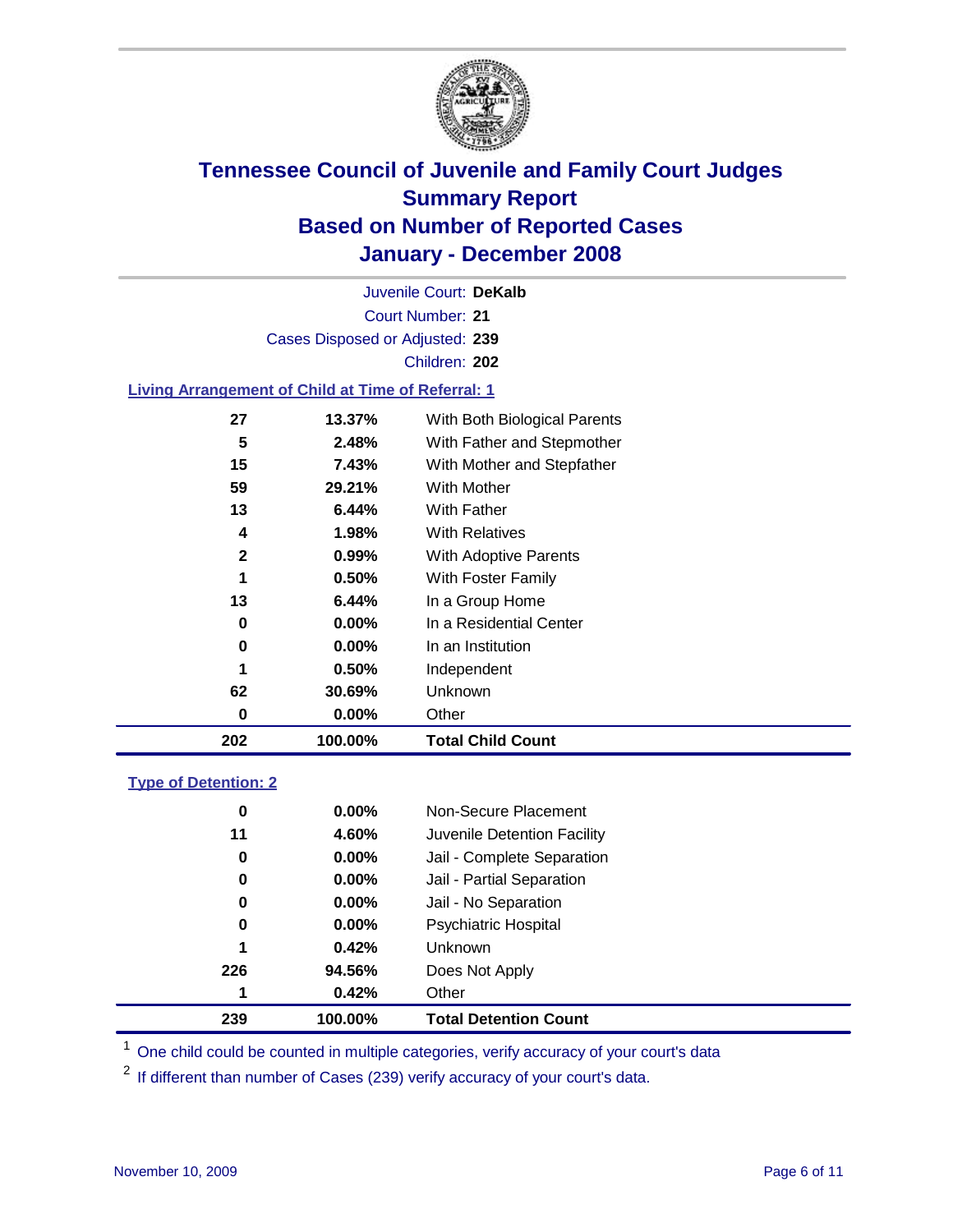

Court Number: **21** Juvenile Court: **DeKalb** Cases Disposed or Adjusted: **239** Children: **202**

### **Living Arrangement of Child at Time of Referral: 1**

| 202          | 100.00%  | <b>Total Child Count</b>     |
|--------------|----------|------------------------------|
| 0            | 0.00%    | Other                        |
| 62           | 30.69%   | Unknown                      |
| 1            | $0.50\%$ | Independent                  |
| 0            | $0.00\%$ | In an Institution            |
| 0            | $0.00\%$ | In a Residential Center      |
| 13           | 6.44%    | In a Group Home              |
| 1            | $0.50\%$ | With Foster Family           |
| $\mathbf{2}$ | 0.99%    | With Adoptive Parents        |
| 4            | 1.98%    | <b>With Relatives</b>        |
| 13           | 6.44%    | With Father                  |
| 59           | 29.21%   | With Mother                  |
| 15           | 7.43%    | With Mother and Stepfather   |
| 5            | 2.48%    | With Father and Stepmother   |
| 27           | 13.37%   | With Both Biological Parents |
|              |          |                              |

### **Type of Detention: 2**

| 239 | 100.00%       | <b>Total Detention Count</b> |
|-----|---------------|------------------------------|
|     | 0.42%<br>1    | Other                        |
| 226 | 94.56%        | Does Not Apply               |
|     | 0.42%<br>1    | <b>Unknown</b>               |
|     | $0.00\%$<br>0 | <b>Psychiatric Hospital</b>  |
|     | $0.00\%$<br>0 | Jail - No Separation         |
|     | $0.00\%$<br>0 | Jail - Partial Separation    |
|     | $0.00\%$<br>0 | Jail - Complete Separation   |
| 11  | 4.60%         | Juvenile Detention Facility  |
|     | $0.00\%$<br>0 | Non-Secure Placement         |
|     |               |                              |

<sup>1</sup> One child could be counted in multiple categories, verify accuracy of your court's data

<sup>2</sup> If different than number of Cases (239) verify accuracy of your court's data.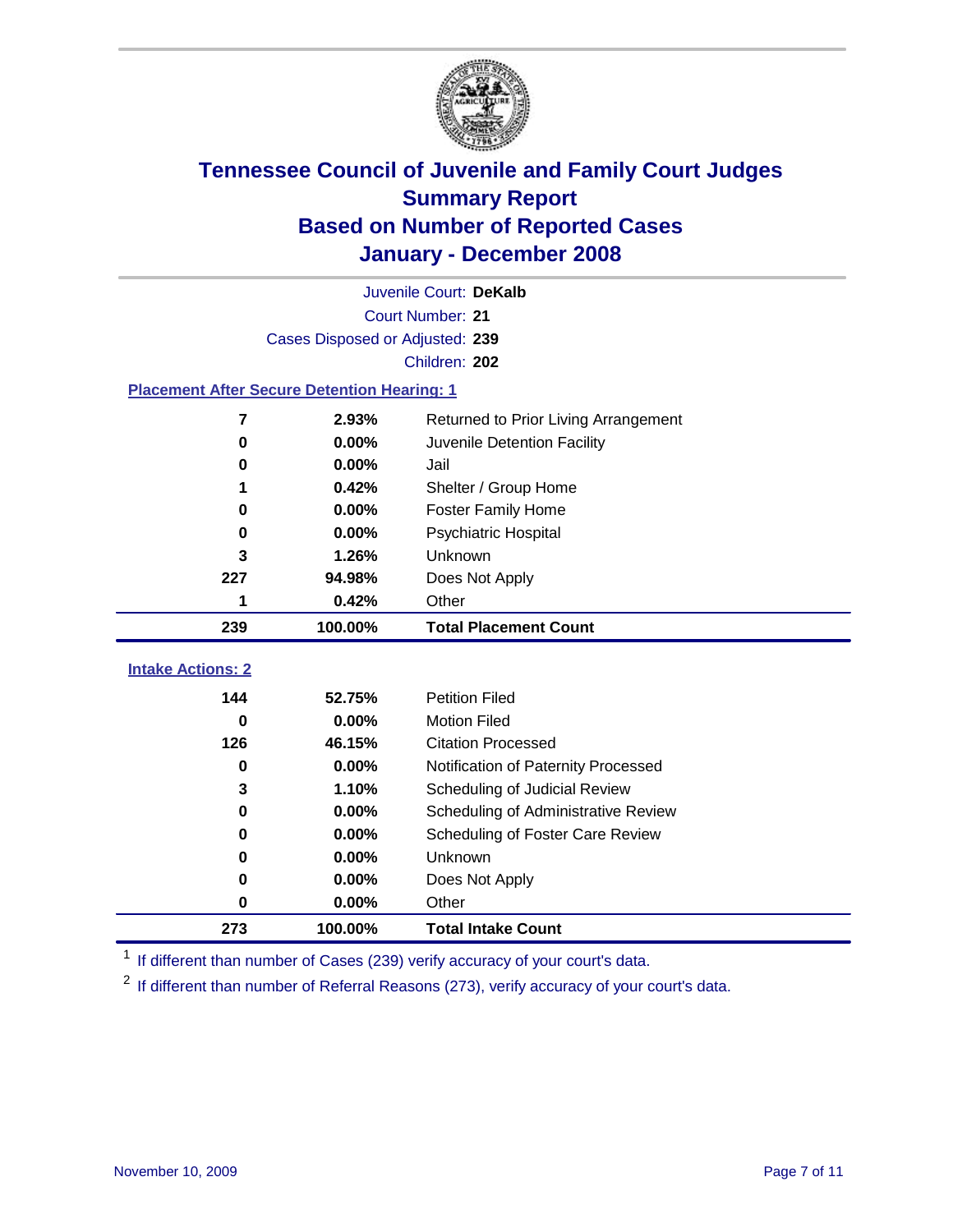

| Juvenile Court: DeKalb                             |                                 |                                      |  |  |  |  |
|----------------------------------------------------|---------------------------------|--------------------------------------|--|--|--|--|
| Court Number: 21                                   |                                 |                                      |  |  |  |  |
|                                                    | Cases Disposed or Adjusted: 239 |                                      |  |  |  |  |
| Children: 202                                      |                                 |                                      |  |  |  |  |
| <b>Placement After Secure Detention Hearing: 1</b> |                                 |                                      |  |  |  |  |
| $\overline{7}$                                     | 2.93%                           | Returned to Prior Living Arrangement |  |  |  |  |
| $\bf{0}$                                           | 0.00%                           | Juvenile Detention Facility          |  |  |  |  |
| 0                                                  | 0.00%                           | Jail                                 |  |  |  |  |
|                                                    | 0.42%                           | Shelter / Group Home                 |  |  |  |  |
| 0                                                  | 0.00%                           | <b>Foster Family Home</b>            |  |  |  |  |
| 0                                                  | 0.00%                           | Psychiatric Hospital                 |  |  |  |  |
| 3                                                  | 1.26%                           | Unknown                              |  |  |  |  |
| 227                                                | 94.98%                          | Does Not Apply                       |  |  |  |  |
| 1                                                  | 0.42%                           | Other                                |  |  |  |  |
|                                                    |                                 |                                      |  |  |  |  |
| 239                                                | 100.00%                         | <b>Total Placement Count</b>         |  |  |  |  |
| <b>Intake Actions: 2</b>                           |                                 |                                      |  |  |  |  |
| 144                                                | 52.75%                          | <b>Petition Filed</b>                |  |  |  |  |
| $\bf{0}$                                           | 0.00%                           | <b>Motion Filed</b>                  |  |  |  |  |
| 126                                                | 46.15%                          | <b>Citation Processed</b>            |  |  |  |  |
| 0                                                  | 0.00%                           | Notification of Paternity Processed  |  |  |  |  |
| 3                                                  | 1.10%                           | Scheduling of Judicial Review        |  |  |  |  |
| $\bf{0}$                                           | 0.00%                           | Scheduling of Administrative Review  |  |  |  |  |
| 0                                                  | 0.00%                           | Scheduling of Foster Care Review     |  |  |  |  |
| 0                                                  | 0.00%                           | Unknown                              |  |  |  |  |
| 0                                                  | 0.00%                           | Does Not Apply                       |  |  |  |  |
| $\bf{0}$                                           | 0.00%                           | Other                                |  |  |  |  |

<sup>1</sup> If different than number of Cases (239) verify accuracy of your court's data.

<sup>2</sup> If different than number of Referral Reasons (273), verify accuracy of your court's data.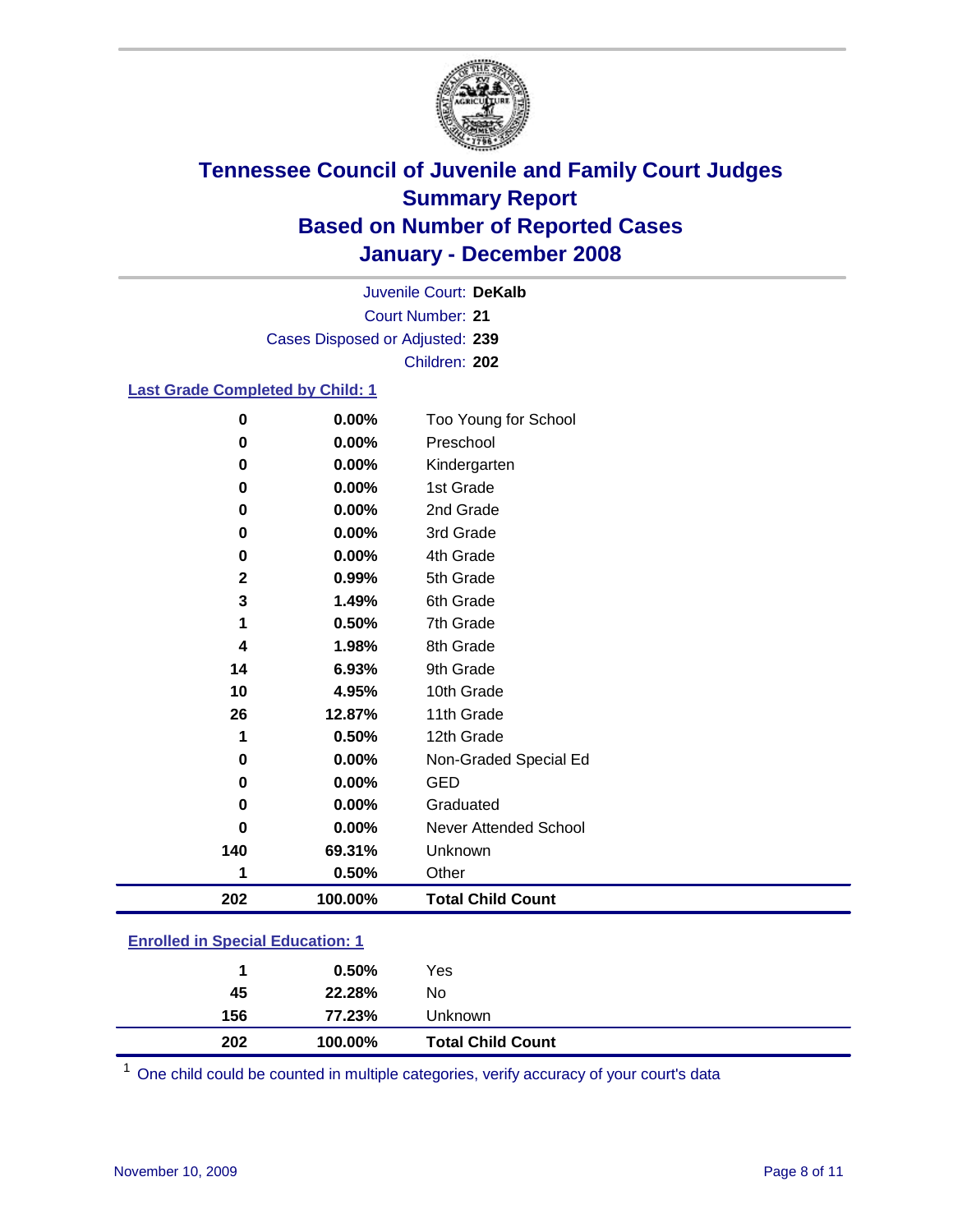

Court Number: **21** Juvenile Court: **DeKalb** Cases Disposed or Adjusted: **239** Children: **202**

### **Last Grade Completed by Child: 1**

| 0            | 0.00%   | Too Young for School     |
|--------------|---------|--------------------------|
| 0            | 0.00%   | Preschool                |
| 0            | 0.00%   | Kindergarten             |
| 0            | 0.00%   | 1st Grade                |
| 0            | 0.00%   | 2nd Grade                |
| 0            | 0.00%   | 3rd Grade                |
| 0            | 0.00%   | 4th Grade                |
| $\mathbf{2}$ | 0.99%   | 5th Grade                |
| 3            | 1.49%   | 6th Grade                |
| 1            | 0.50%   | 7th Grade                |
| 4            | 1.98%   | 8th Grade                |
| 14           | 6.93%   | 9th Grade                |
| 10           | 4.95%   | 10th Grade               |
| 26           | 12.87%  | 11th Grade               |
| 1            | 0.50%   | 12th Grade               |
| 0            | 0.00%   | Non-Graded Special Ed    |
| 0            | 0.00%   | <b>GED</b>               |
| 0            | 0.00%   | Graduated                |
| 0            | 0.00%   | Never Attended School    |
| 140          | 69.31%  | Unknown                  |
| 1            | 0.50%   | Other                    |
| 202          | 100.00% | <b>Total Child Count</b> |

### **Enrolled in Special Education: 1**

| 45  | 0.50%<br>22.28% | Yes<br>No                |  |
|-----|-----------------|--------------------------|--|
| 156 | 77.23%          | Unknown                  |  |
| 202 | 100.00%         | <b>Total Child Count</b> |  |

One child could be counted in multiple categories, verify accuracy of your court's data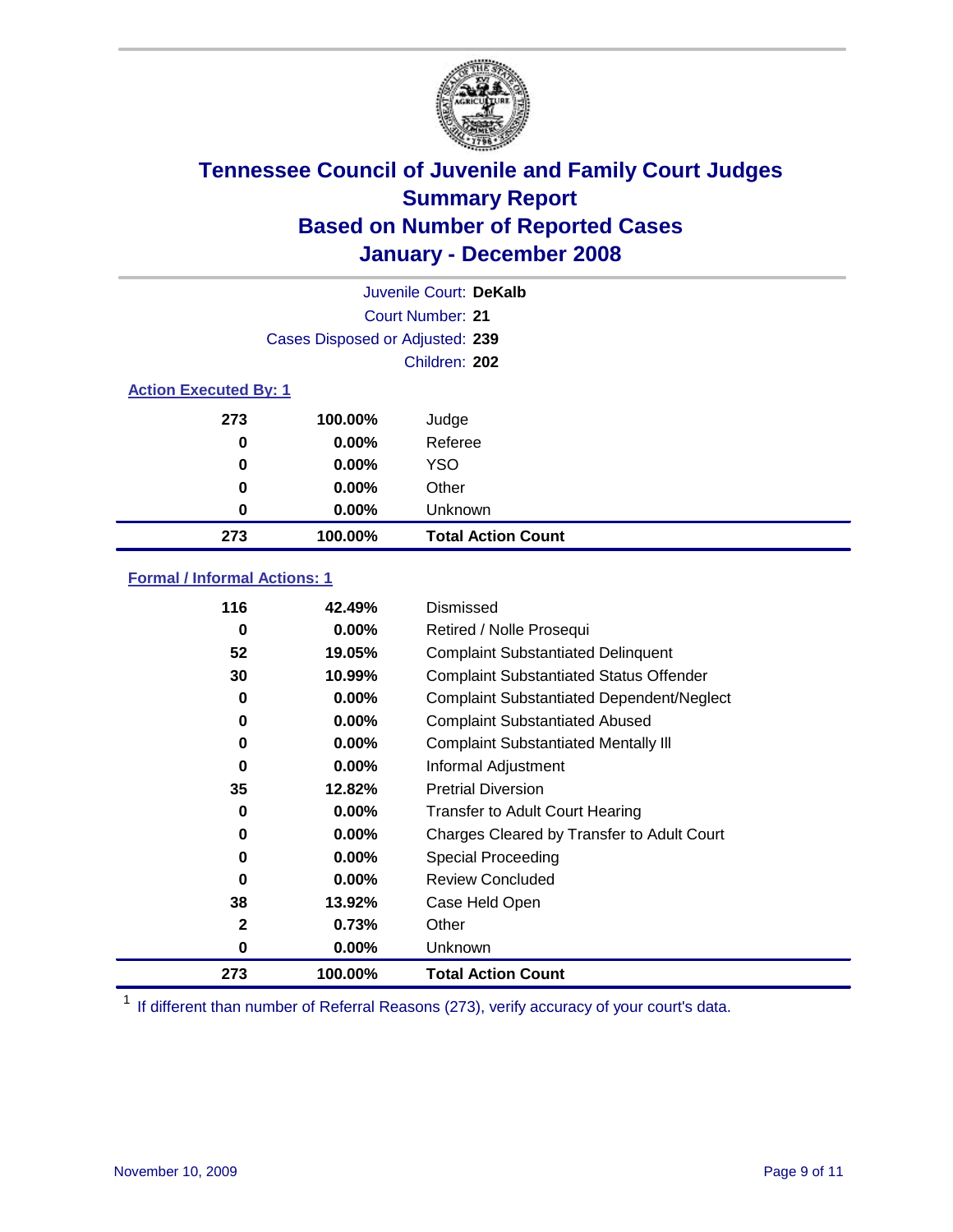

|                              |                                 | Juvenile Court: DeKalb    |
|------------------------------|---------------------------------|---------------------------|
|                              | Court Number: 21                |                           |
|                              | Cases Disposed or Adjusted: 239 |                           |
|                              |                                 | Children: 202             |
| <b>Action Executed By: 1</b> |                                 |                           |
| 273                          | 100.00%                         | Judge                     |
| 0                            | $0.00\%$                        | Referee                   |
| 0                            | $0.00\%$                        | <b>YSO</b>                |
| 0                            | $0.00\%$                        | Other                     |
| 0                            | $0.00\%$                        | Unknown                   |
| 273                          | 100.00%                         | <b>Total Action Count</b> |

### **Formal / Informal Actions: 1**

| 116          | 42.49%   | Dismissed                                        |
|--------------|----------|--------------------------------------------------|
| 0            | 0.00%    | Retired / Nolle Prosequi                         |
| 52           | 19.05%   | <b>Complaint Substantiated Delinquent</b>        |
| 30           | 10.99%   | <b>Complaint Substantiated Status Offender</b>   |
| 0            | 0.00%    | <b>Complaint Substantiated Dependent/Neglect</b> |
| 0            | 0.00%    | <b>Complaint Substantiated Abused</b>            |
| 0            | 0.00%    | <b>Complaint Substantiated Mentally III</b>      |
| 0            | 0.00%    | Informal Adjustment                              |
| 35           | 12.82%   | <b>Pretrial Diversion</b>                        |
| 0            | 0.00%    | <b>Transfer to Adult Court Hearing</b>           |
| 0            | 0.00%    | Charges Cleared by Transfer to Adult Court       |
| 0            | $0.00\%$ | Special Proceeding                               |
| 0            | $0.00\%$ | <b>Review Concluded</b>                          |
| 38           | 13.92%   | Case Held Open                                   |
| $\mathbf{2}$ | 0.73%    | Other                                            |
| 0            | 0.00%    | Unknown                                          |
| 273          | 100.00%  | <b>Total Action Count</b>                        |

<sup>1</sup> If different than number of Referral Reasons (273), verify accuracy of your court's data.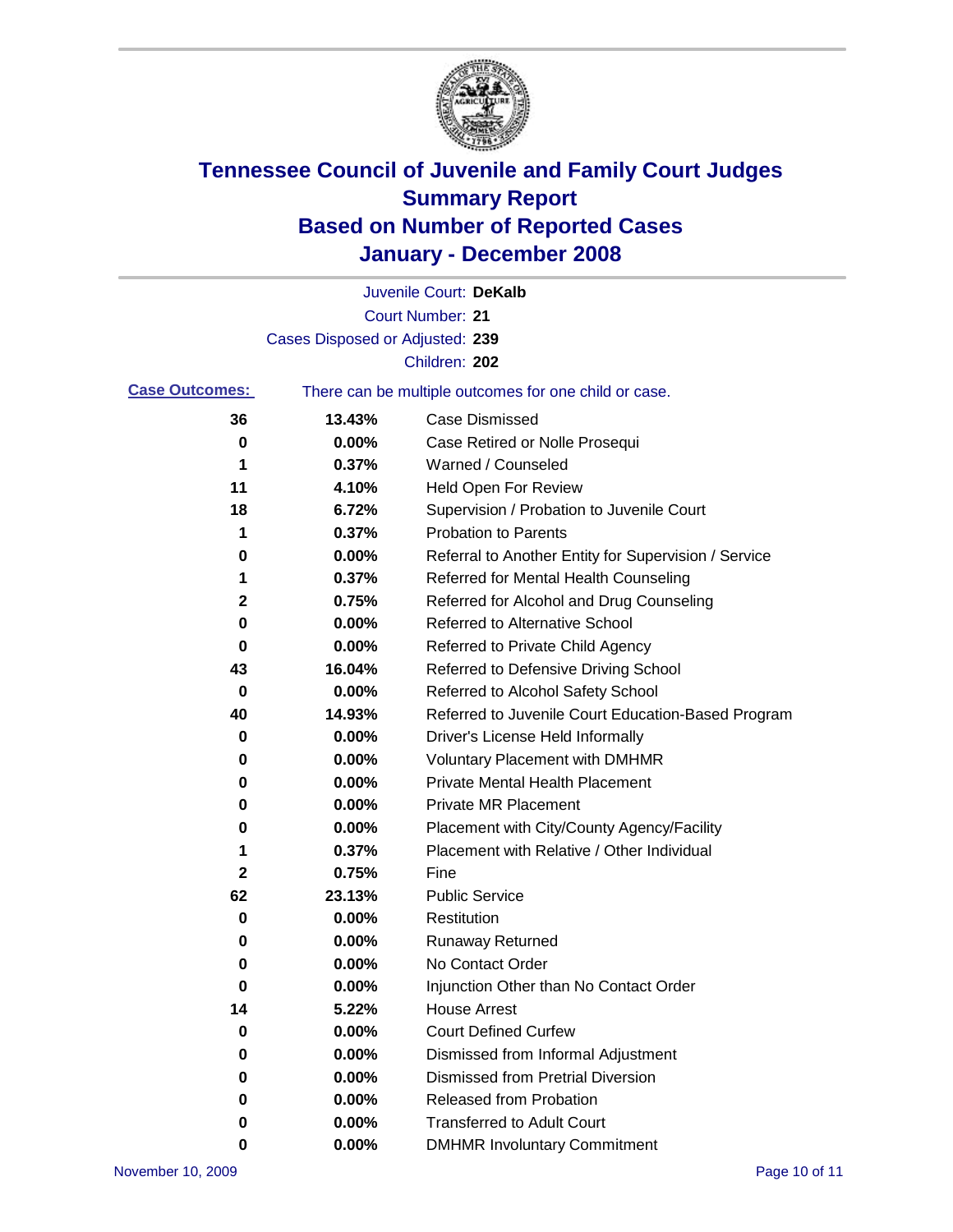

|                       |                                 | Juvenile Court: DeKalb                                |
|-----------------------|---------------------------------|-------------------------------------------------------|
|                       |                                 | <b>Court Number: 21</b>                               |
|                       | Cases Disposed or Adjusted: 239 |                                                       |
|                       |                                 | Children: 202                                         |
| <b>Case Outcomes:</b> |                                 | There can be multiple outcomes for one child or case. |
| 36                    | 13.43%                          | <b>Case Dismissed</b>                                 |
| 0                     | 0.00%                           | Case Retired or Nolle Prosequi                        |
| 1                     | 0.37%                           | Warned / Counseled                                    |
| 11                    | 4.10%                           | Held Open For Review                                  |
| 18                    | 6.72%                           | Supervision / Probation to Juvenile Court             |
| 1                     | 0.37%                           | <b>Probation to Parents</b>                           |
| 0                     | 0.00%                           | Referral to Another Entity for Supervision / Service  |
| 1                     | 0.37%                           | Referred for Mental Health Counseling                 |
| 2                     | 0.75%                           | Referred for Alcohol and Drug Counseling              |
| 0                     | 0.00%                           | <b>Referred to Alternative School</b>                 |
| 0                     | 0.00%                           | Referred to Private Child Agency                      |
| 43                    | 16.04%                          | Referred to Defensive Driving School                  |
| 0                     | 0.00%                           | Referred to Alcohol Safety School                     |
| 40                    | 14.93%                          | Referred to Juvenile Court Education-Based Program    |
| 0                     | 0.00%                           | Driver's License Held Informally                      |
| 0                     | 0.00%                           | <b>Voluntary Placement with DMHMR</b>                 |
| 0                     | 0.00%                           | <b>Private Mental Health Placement</b>                |
| 0                     | 0.00%                           | <b>Private MR Placement</b>                           |
| 0                     | 0.00%                           | Placement with City/County Agency/Facility            |
| 1                     | 0.37%                           | Placement with Relative / Other Individual            |
| 2                     | 0.75%                           | Fine                                                  |
| 62                    | 23.13%                          | <b>Public Service</b>                                 |
| 0                     | 0.00%                           | Restitution                                           |
| 0                     | 0.00%                           | <b>Runaway Returned</b>                               |
| 0                     | 0.00%                           | No Contact Order                                      |
| $\bf{0}$              | 0.00%                           | Injunction Other than No Contact Order                |
| 14                    | 5.22%                           | <b>House Arrest</b>                                   |
| 0                     | 0.00%                           | <b>Court Defined Curfew</b>                           |
| 0                     | 0.00%                           | Dismissed from Informal Adjustment                    |
| 0                     | 0.00%                           | <b>Dismissed from Pretrial Diversion</b>              |
| 0                     | 0.00%                           | Released from Probation                               |
| 0                     | 0.00%                           | <b>Transferred to Adult Court</b>                     |
| 0                     | 0.00%                           | <b>DMHMR Involuntary Commitment</b>                   |